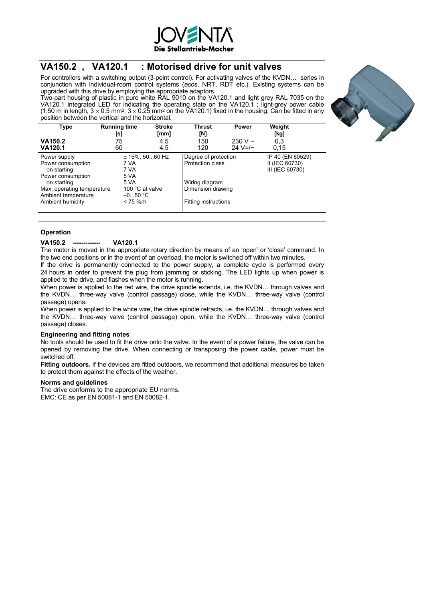

# **VA150.2 , VA120.1 : Motorised drive for unit valves**

For controllers with a switching output (3-point control). For activating valves of the KVDN… series in conjunction with individual-room control systems (*ecos*, NRT, RDT etc.). Existing systems can be upgraded with this drive by employing the appropriate adaptors.

Two-part housing of plastic in pure white RAL 9010 on the VA120.1 and light grey RAL 7035 on the VA120.1 Integrated LED for indicating the operating state on the VA120.1 ; light-grey power cable (1.50 m in length, 3  $\times$  0.5 mm<sup>2</sup>; 3  $\times$  0.25 mm<sup>2</sup> on the VA120.1) fixed in the housing. Can be fitted in any position between the vertical and the horizontal.



### **Operation**

#### **VA150.2 ------------- VA120.1**

The motor is moved in the appropriate rotary direction by means of an 'open' or 'close' command. In the two end positions or in the event of an overload, the motor is switched off within two minutes.

If the drive is permanently connected to the power supply, a complete cycle is performed every 24 hours in order to prevent the plug from jamming or sticking. The LED lights up when power is applied to the drive, and flashes when the motor is running.

When power is applied to the red wire, the drive spindle extends, i.e. the KVDN... through valves and the KVDN… three-way valve (control passage) close, while the KVDN… three-way valve (control passage) opens.

When power is applied to the white wire, the drive spindle retracts, i.e. the KVDN... through valves and the KVDN… three-way valve (control passage) open, while the KVDN… three-way valve (control passage) closes.

### **Engineering and fitting notes**

No tools should be used to fit the drive onto the valve. In the event of a power failure, the valve can be opened by removing the drive. When connecting or transposing the power cable, power must be switched off.

**Fitting outdoors.** If the devices are fitted outdoors, we recommend that additional measures be taken to protect them against the effects of the weather.

#### **Norms and guidelines**

The drive conforms to the appropriate EU norms. EMC: CE as per EN 50081-1 and EN 50082-1.